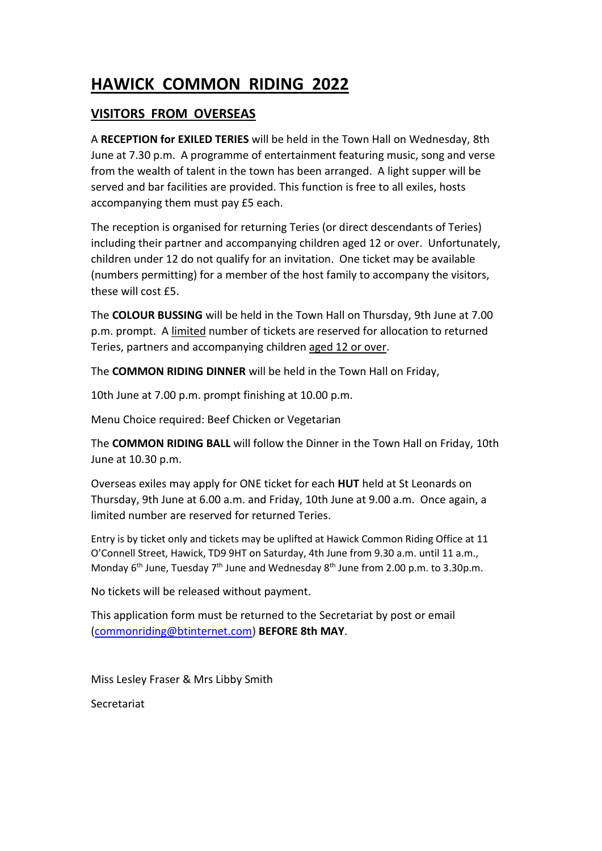## **HAWICK COMMON RIDING 2022**

## **VISITORS FROM OVERSEAS**

A **RECEPTION for EXILED TERIES** will be held in the Town Hall on Wednesday, 8th June at 7.30 p.m. A programme of entertainment featuring music, song and verse from the wealth of talent in the town has been arranged. A light supper will be served and bar facilities are provided. This function is free to all exiles, hosts accompanying them must pay £5 each.

The reception is organised for returning Teries (or direct descendants of Teries) including their partner and accompanying children aged 12 or over. Unfortunately, children under 12 do not qualify for an invitation. One ticket may be available (numbers permitting) for a member of the host family to accompany the visitors, these will cost £5.

The **COLOUR BUSSING** will be held in the Town Hall on Thursday, 9th June at 7.00 p.m. prompt. A limited number of tickets are reserved for allocation to returned Teries, partners and accompanying children aged 12 or over.

The **COMMON RIDING DINNER** will be held in the Town Hall on Friday,

10th June at 7.00 p.m. prompt finishing at 10.00 p.m.

Menu Choice required: Beef Chicken or Vegetarian

The **COMMON RIDING BALL** will follow the Dinner in the Town Hall on Friday, 10th June at 10.30 p.m.

Overseas exiles may apply for ONE ticket for each **HUT** held at St Leonards on Thursday, 9th June at 6.00 a.m. and Friday, 10th June at 9.00 a.m. Once again, a limited number are reserved for returned Teries.

Entry is by ticket only and tickets may be uplifted at Hawick Common Riding Office at 11 O'Connell Street, Hawick, TD9 9HT on Saturday, 4th June from 9.30 a.m. until 11 a.m., Monday 6<sup>th</sup> June, Tuesday 7<sup>th</sup> June and Wednesday 8<sup>th</sup> June from 2.00 p.m. to 3.30p.m.

No tickets will be released without payment.

This application form must be returned to the Secretariat by post or email [\(commonriding@btinternet.com\)](mailto:commonriding@btinternet.com) **BEFORE 8th MAY**.

Miss Lesley Fraser & Mrs Libby Smith

Secretariat